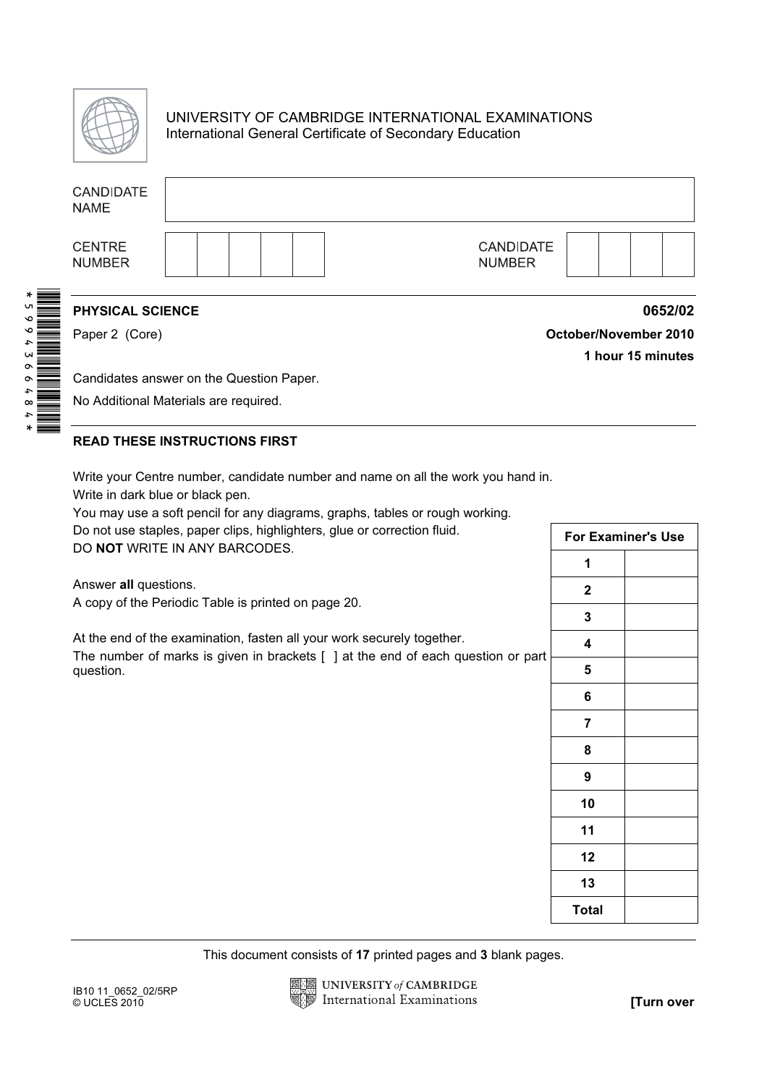

## UNIVERSITY OF CAMBRIDGE INTERNATIONAL EXAMINATIONS International General Certificate of Secondary Education

| <b>CANDIDATE</b><br><b>NAME</b>                                                                                                                          |  |  |  |                            |                                                               |                       |                           |  |            |
|----------------------------------------------------------------------------------------------------------------------------------------------------------|--|--|--|----------------------------|---------------------------------------------------------------|-----------------------|---------------------------|--|------------|
| <b>CENTRE</b><br><b>NUMBER</b>                                                                                                                           |  |  |  |                            | <b>CANDIDATE</b><br><b>NUMBER</b>                             |                       |                           |  |            |
| <b>PHYSICAL SCIENCE</b>                                                                                                                                  |  |  |  |                            |                                                               |                       |                           |  | 0652/02    |
| Paper 2 (Core)                                                                                                                                           |  |  |  |                            |                                                               | October/November 2010 |                           |  |            |
|                                                                                                                                                          |  |  |  |                            |                                                               |                       | 1 hour 15 minutes         |  |            |
| Candidates answer on the Question Paper.<br>No Additional Materials are required.                                                                        |  |  |  |                            |                                                               |                       |                           |  |            |
|                                                                                                                                                          |  |  |  |                            |                                                               |                       |                           |  |            |
| <b>READ THESE INSTRUCTIONS FIRST</b>                                                                                                                     |  |  |  |                            |                                                               |                       |                           |  |            |
| Write your Centre number, candidate number and name on all the work you hand in.<br>Write in dark blue or black pen.                                     |  |  |  |                            |                                                               |                       |                           |  |            |
| You may use a soft pencil for any diagrams, graphs, tables or rough working.<br>Do not use staples, paper clips, highlighters, glue or correction fluid. |  |  |  |                            |                                                               |                       | <b>For Examiner's Use</b> |  |            |
| DO NOT WRITE IN ANY BARCODES.                                                                                                                            |  |  |  |                            |                                                               |                       | 1                         |  |            |
| Answer all questions.                                                                                                                                    |  |  |  |                            |                                                               |                       | $\mathbf{2}$              |  |            |
| A copy of the Periodic Table is printed on page 20.                                                                                                      |  |  |  |                            |                                                               |                       | 3                         |  |            |
| At the end of the examination, fasten all your work securely together.                                                                                   |  |  |  |                            |                                                               |                       | 4                         |  |            |
| The number of marks is given in brackets [ ] at the end of each question or part<br>question.                                                            |  |  |  |                            |                                                               |                       | 5                         |  |            |
|                                                                                                                                                          |  |  |  |                            |                                                               |                       | $6\phantom{1}6$           |  |            |
|                                                                                                                                                          |  |  |  |                            |                                                               |                       | 7                         |  |            |
|                                                                                                                                                          |  |  |  |                            |                                                               |                       | 8                         |  |            |
|                                                                                                                                                          |  |  |  |                            |                                                               |                       | 9                         |  |            |
|                                                                                                                                                          |  |  |  |                            |                                                               |                       | 10                        |  |            |
|                                                                                                                                                          |  |  |  |                            |                                                               |                       | 11                        |  |            |
|                                                                                                                                                          |  |  |  |                            |                                                               |                       | 12                        |  |            |
|                                                                                                                                                          |  |  |  |                            |                                                               |                       | 13                        |  |            |
|                                                                                                                                                          |  |  |  |                            |                                                               |                       | <b>Total</b>              |  |            |
|                                                                                                                                                          |  |  |  |                            | This document consists of 17 printed pages and 3 blank pages. |                       |                           |  |            |
|                                                                                                                                                          |  |  |  | UNIVERSITY of CAMBRIDGE    |                                                               |                       |                           |  |            |
| IB10 11_0652_02/5RP<br>$@$ UCLES 2010                                                                                                                    |  |  |  | International Examinations |                                                               |                       |                           |  | [Turn over |

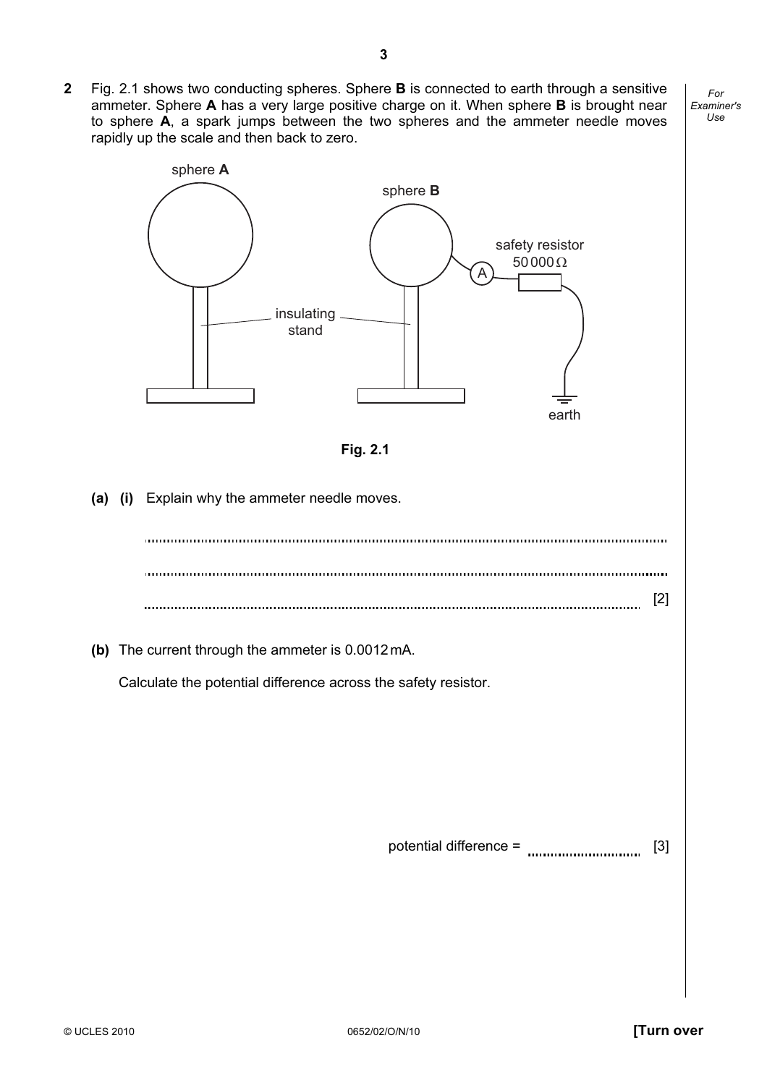2 Fig. 2.1 shows two conducting spheres. Sphere **B** is connected to earth through a sensitive ammeter. Sphere A has a very large positive charge on it. When sphere B is brought near to sphere A, a spark jumps between the two spheres and the ammeter needle moves rapidly up the scale and then back to zero.

3





(a) (i) Explain why the ammeter needle moves.

[2] 

(b) The current through the ammeter is 0.0012mA.

Calculate the potential difference across the safety resistor.

potential difference = [3]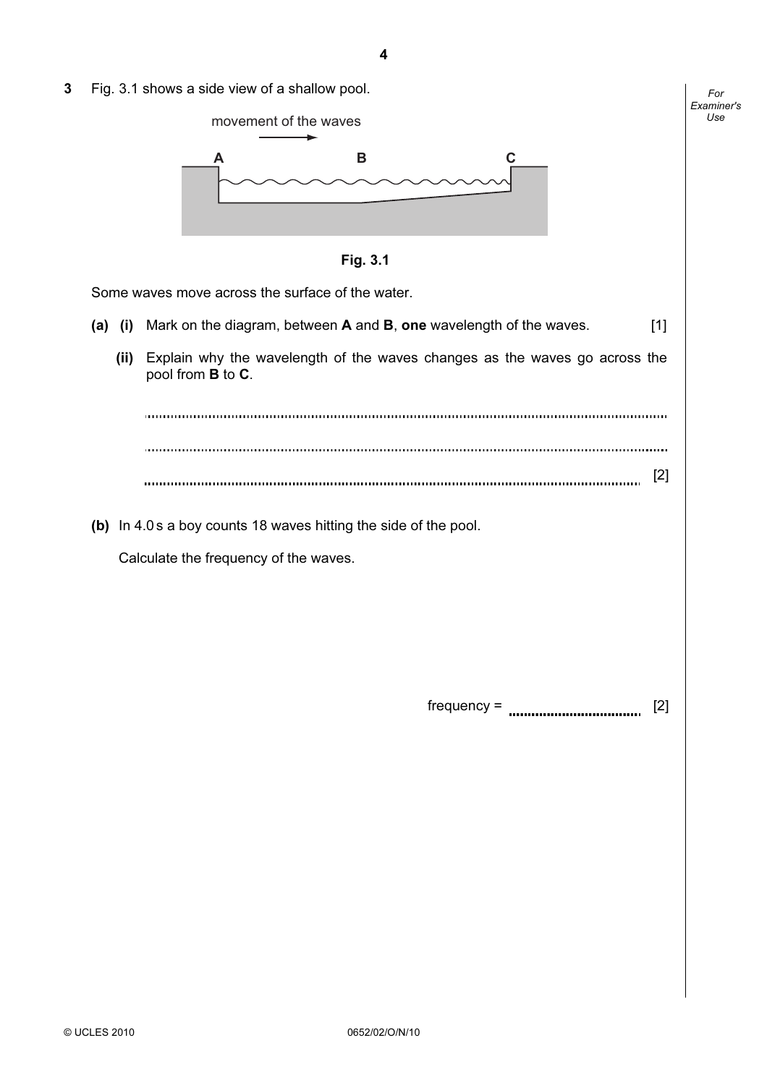3 Fig. 3.1 shows a side view of a shallow pool.





Some waves move across the surface of the water.

(a) (i) Mark on the diagram, between A and B, one wavelength of the waves. [1] (ii) Explain why the wavelength of the waves changes as the waves go across the pool from B to C.

[2]

(b) In 4.0s a boy counts 18 waves hitting the side of the pool.

Calculate the frequency of the waves.

 $frequency = 2$ ]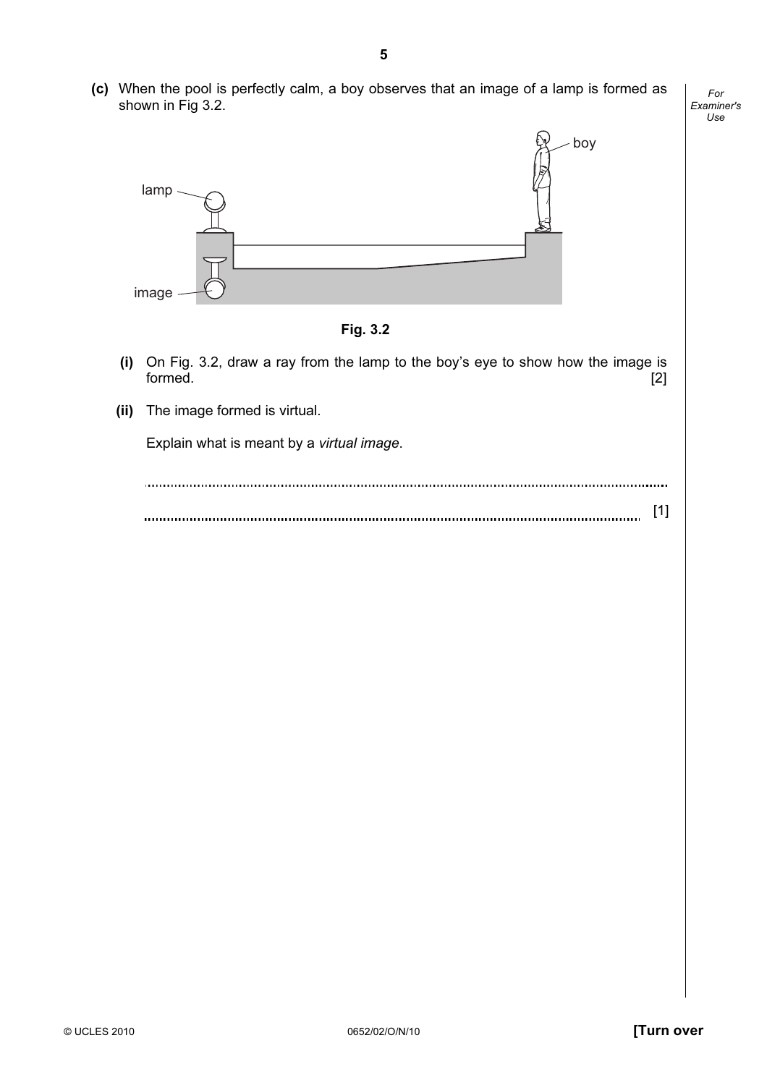(c) When the pool is perfectly calm, a boy observes that an image of a lamp is formed as shown in Fig 3.2.

For Examiner's Use



[1]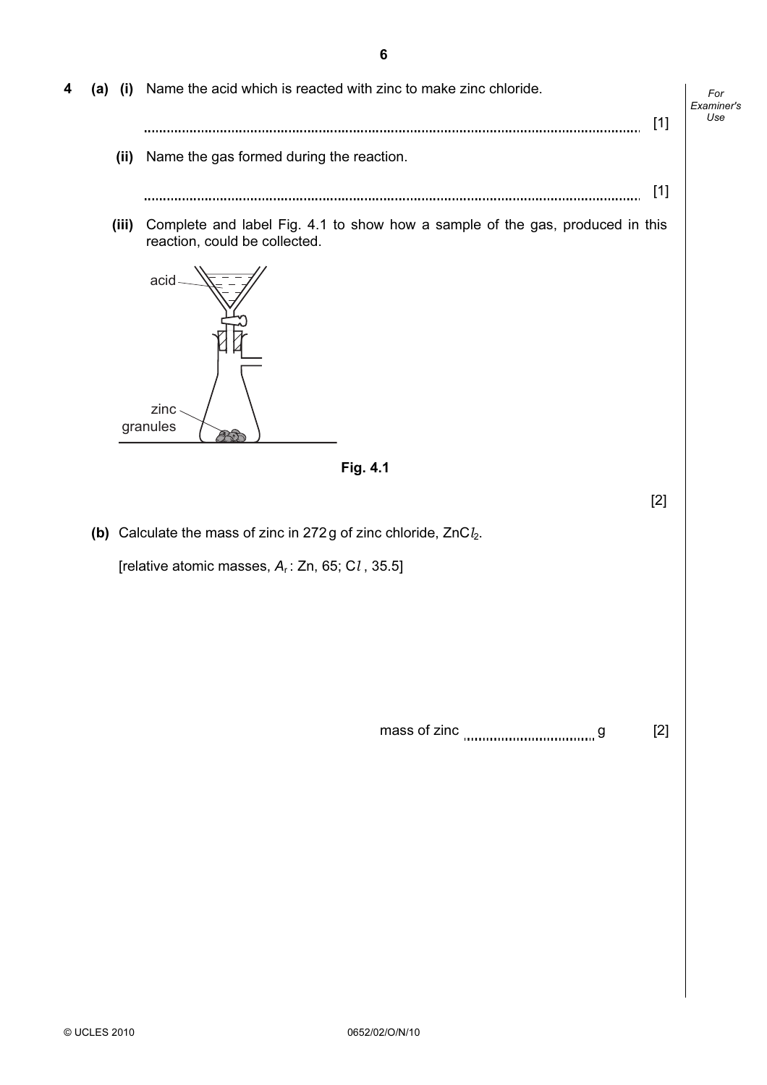| 4 | (a) | (i)   | Name the acid which is reacted with zinc to make zinc chloride.                                                |       | For<br>Examiner's |
|---|-----|-------|----------------------------------------------------------------------------------------------------------------|-------|-------------------|
|   |     |       |                                                                                                                | $[1]$ | Use               |
|   |     | (ii)  | Name the gas formed during the reaction.                                                                       |       |                   |
|   |     |       |                                                                                                                | $[1]$ |                   |
|   |     | (iii) | Complete and label Fig. 4.1 to show how a sample of the gas, produced in this<br>reaction, could be collected. |       |                   |
|   |     |       | acid<br>zinc<br>granules                                                                                       |       |                   |
|   |     |       | Fig. 4.1                                                                                                       |       |                   |
|   |     |       |                                                                                                                | $[2]$ |                   |
|   |     |       | (b) Calculate the mass of zinc in 272g of zinc chloride, $ZnCl2$ .                                             |       |                   |
|   |     |       | [relative atomic masses, $A_r$ : Zn, 65; Cl, 35.5]                                                             |       |                   |
|   |     |       |                                                                                                                |       |                   |
|   |     |       |                                                                                                                | $[2]$ |                   |
|   |     |       |                                                                                                                |       |                   |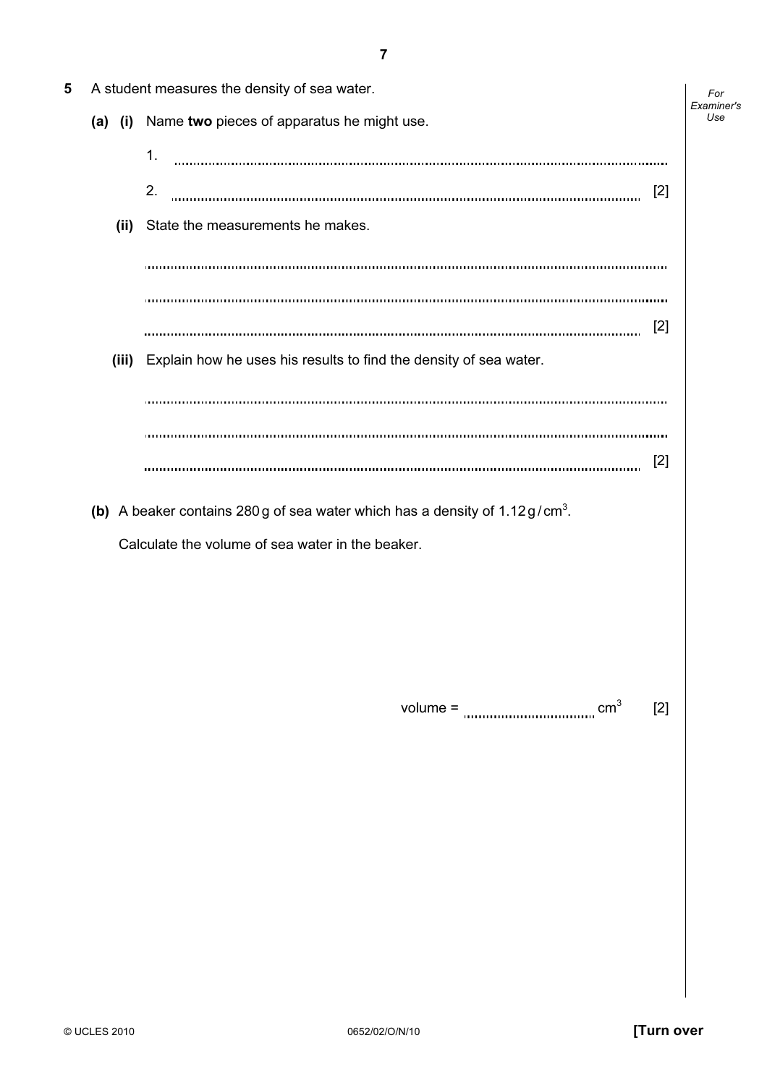| 5 |           | A student measures the density of sea water.                                            | For<br>Examiner's |
|---|-----------|-----------------------------------------------------------------------------------------|-------------------|
|   | $(a)$ (i) | Name two pieces of apparatus he might use.                                              | Use               |
|   |           | 1.                                                                                      |                   |
|   |           | 2.<br>$[2]$                                                                             |                   |
|   | (ii)      | State the measurements he makes.                                                        |                   |
|   |           |                                                                                         |                   |
|   |           |                                                                                         |                   |
|   |           | [2]                                                                                     |                   |
|   | (iii)     | Explain how he uses his results to find the density of sea water.                       |                   |
|   |           |                                                                                         |                   |
|   |           |                                                                                         |                   |
|   |           | [2]                                                                                     |                   |
|   |           | (b) A beaker contains 280 g of sea water which has a density of $1.12 \text{ g/cm}^3$ . |                   |
|   |           | Calculate the volume of sea water in the beaker.                                        |                   |
|   |           |                                                                                         |                   |
|   |           |                                                                                         |                   |
|   |           |                                                                                         |                   |
|   |           |                                                                                         |                   |
|   |           | cm <sup>3</sup><br>$volume =$<br>$[2]$                                                  |                   |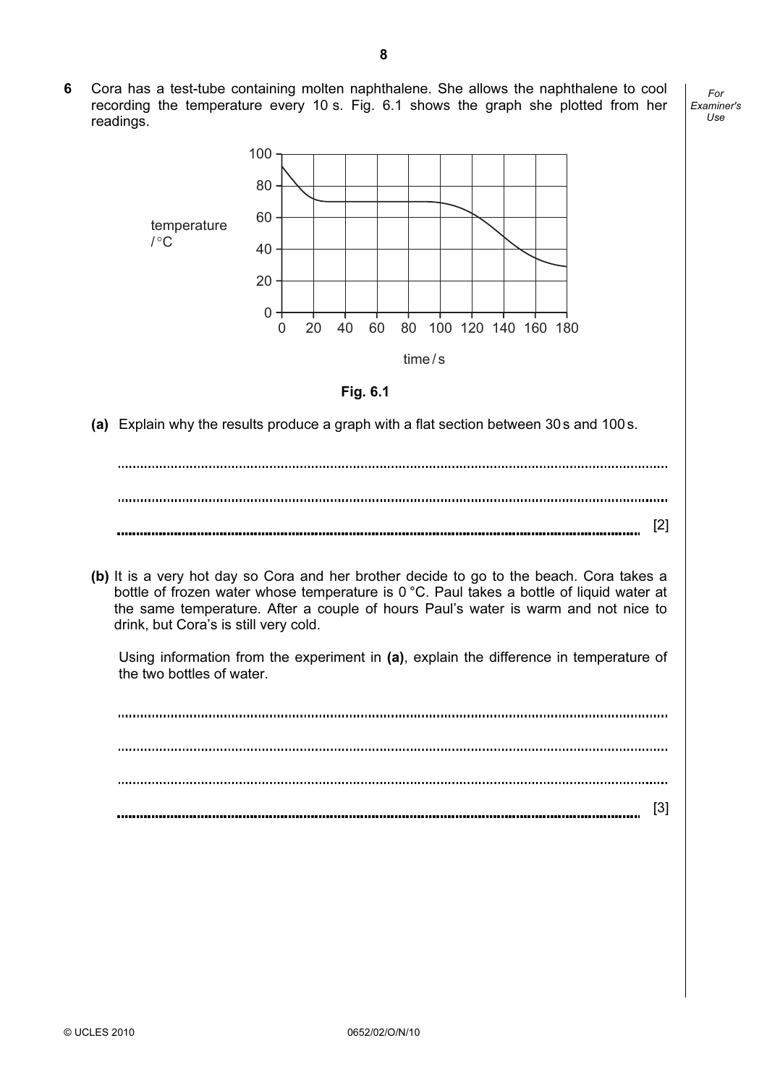Examiner's  $1$ se 6 Cora has a test-tube containing molten naphthalene. She allows the naphthalene to cool recording the temperature every 10 s. Fig. 6.1 shows the graph she plotted from her readings.

For



Fig. 6.1

(a) Explain why the results produce a graph with a flat section between 30s and 100s.

[2]

(b) It is a very hot day so Cora and her brother decide to go to the beach. Cora takes a bottle of frozen water whose temperature is  $0^{\circ}$ C. Paul takes a bottle of liquid water at the same temperature. After a couple of hours Paul's water is warm and not nice to drink, but Cora's is still very cold.

 Using information from the experiment in (a), explain the difference in temperature of the two bottles of water.

[3]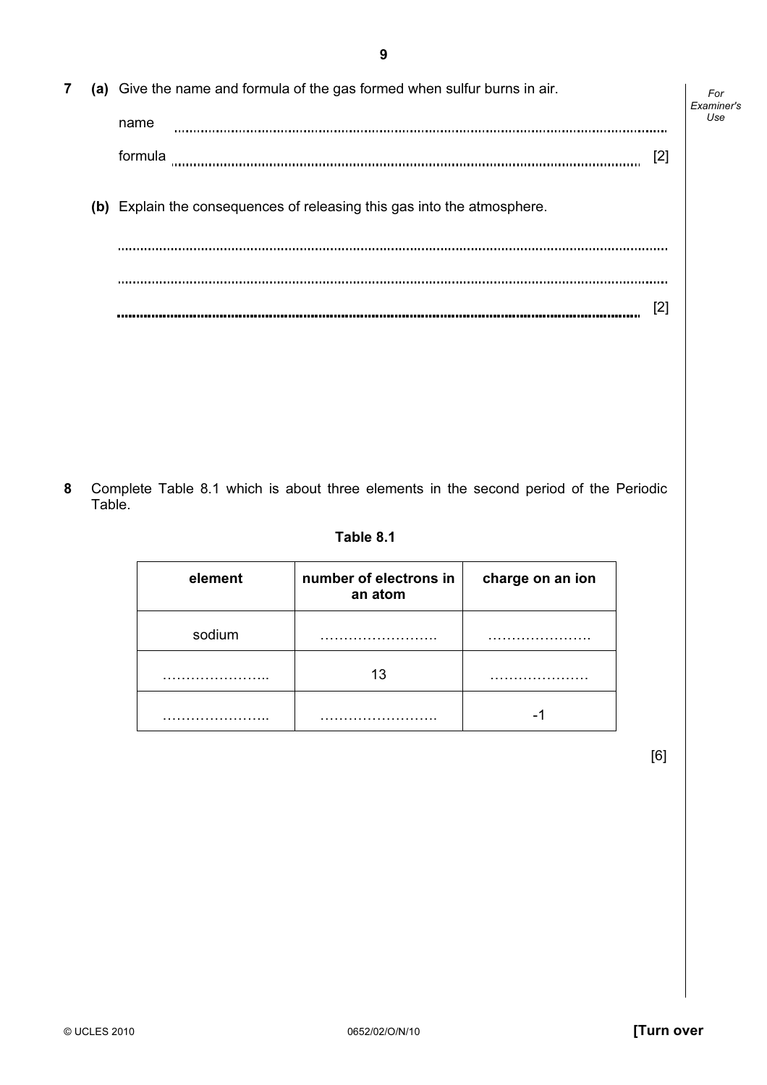| 7 | (a) Give the name and formula of the gas formed when sulfur burns in air.<br>name | For<br>Examiner's<br>Use |
|---|-----------------------------------------------------------------------------------|--------------------------|
|   | formula<br>[2]                                                                    |                          |
|   | (b) Explain the consequences of releasing this gas into the atmosphere.           |                          |
|   |                                                                                   |                          |
|   | <br>[2]                                                                           |                          |

8 Complete Table 8.1 which is about three elements in the second period of the Periodic Table.

| Table 8.1 |  |
|-----------|--|
|-----------|--|

| element | number of electrons in<br>an atom | charge on an ion |
|---------|-----------------------------------|------------------|
| sodium  | .                                 | .                |
| .       | 13                                | .                |
| .       | .                                 |                  |

[6]

9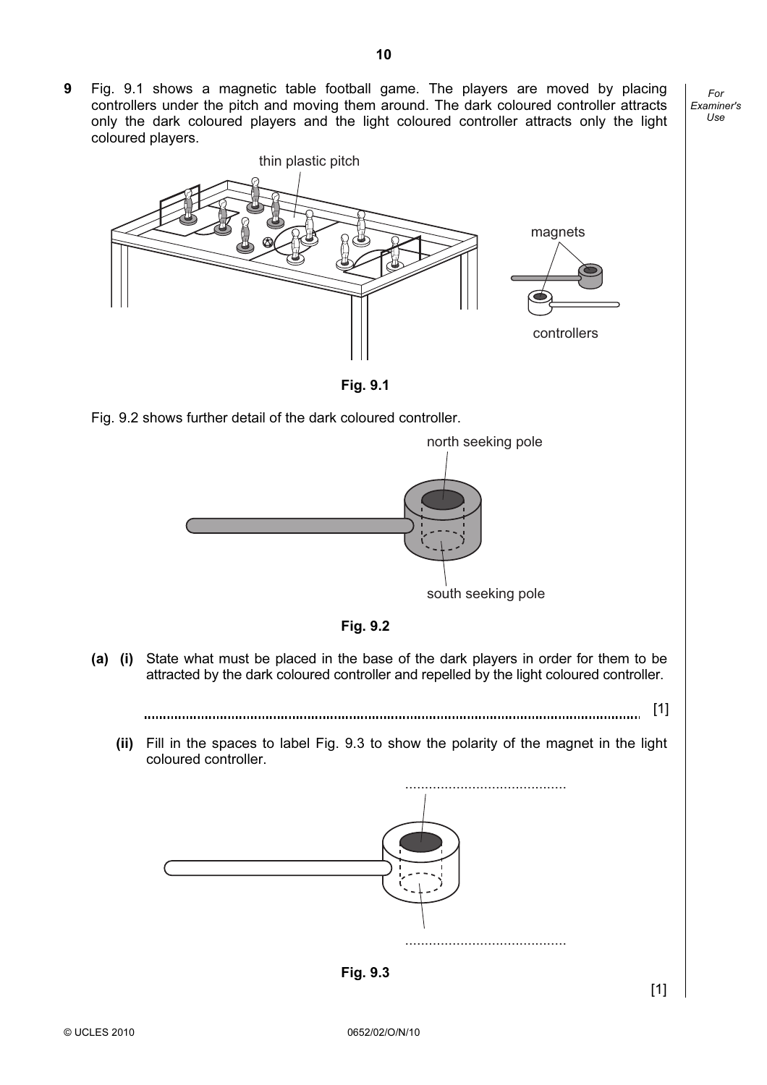9 Fig. 9.1 shows a magnetic table football game. The players are moved by placing controllers under the pitch and moving them around. The dark coloured controller attracts only the dark coloured players and the light coloured controller attracts only the light coloured players.

10



Fig. 9.1

Fig. 9.2 shows further detail of the dark coloured controller.





(a) (i) State what must be placed in the base of the dark players in order for them to be attracted by the dark coloured controller and repelled by the light coloured controller.

[1]

 (ii) Fill in the spaces to label Fig. 9.3 to show the polarity of the magnet in the light coloured controller.

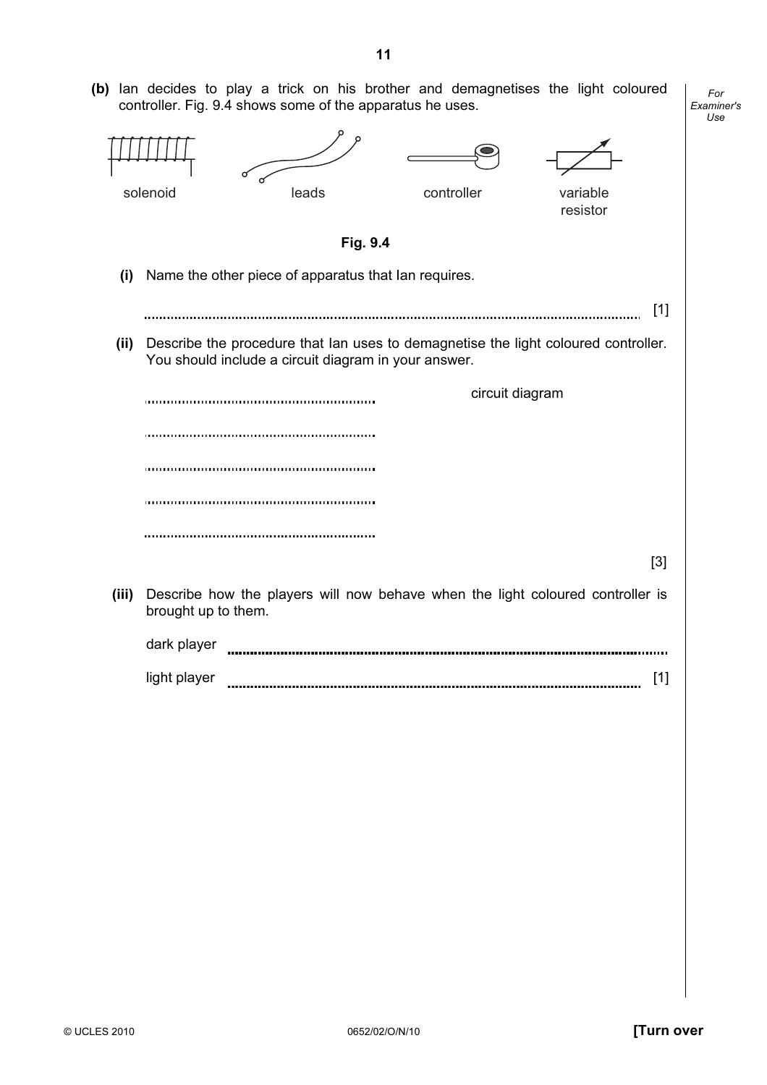(b) Ian decides to play a trick on his brother and demagnetises the light coloured controller. Fig. 9.4 shows some of the apparatus he uses.

|       |                     | ρ                                                                                                                                          |                 |                      |
|-------|---------------------|--------------------------------------------------------------------------------------------------------------------------------------------|-----------------|----------------------|
|       | solenoid            | leads                                                                                                                                      | controller      | variable<br>resistor |
|       |                     | Fig. 9.4                                                                                                                                   |                 |                      |
| (i)   |                     | Name the other piece of apparatus that Ian requires.                                                                                       |                 |                      |
|       |                     |                                                                                                                                            |                 | $[1]$                |
| (ii)  |                     | Describe the procedure that lan uses to demagnetise the light coloured controller.<br>You should include a circuit diagram in your answer. |                 |                      |
|       |                     |                                                                                                                                            | circuit diagram |                      |
|       |                     |                                                                                                                                            |                 |                      |
|       |                     |                                                                                                                                            |                 |                      |
|       |                     |                                                                                                                                            |                 |                      |
|       |                     |                                                                                                                                            |                 |                      |
|       |                     |                                                                                                                                            |                 | [3]                  |
| (iii) | brought up to them. | Describe how the players will now behave when the light coloured controller is                                                             |                 |                      |
|       | dark player         |                                                                                                                                            |                 |                      |
|       | light player        |                                                                                                                                            |                 | [1]                  |
|       |                     |                                                                                                                                            |                 |                      |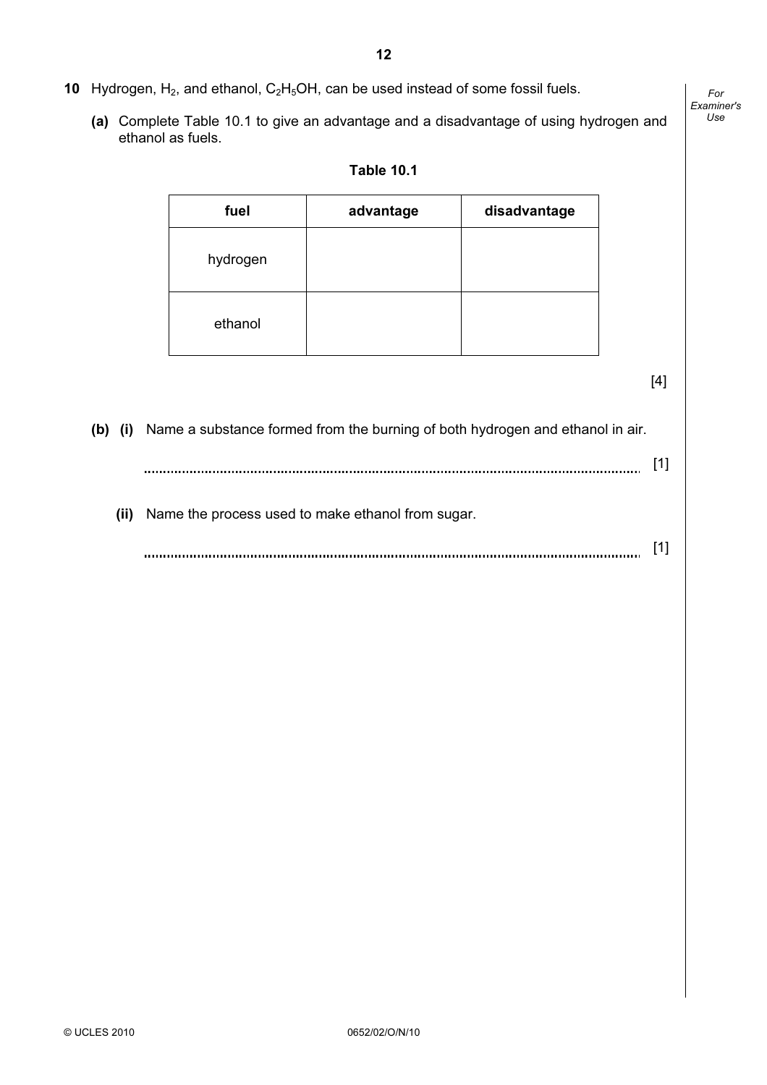# 10 Hydrogen,  $H_2$ , and ethanol,  $C_2H_5OH$ , can be used instead of some fossil fuels.

 (a) Complete Table 10.1 to give an advantage and a disadvantage of using hydrogen and ethanol as fuels.

| <b>Table 10.1</b> |
|-------------------|
|                   |

| fuel     | advantage | disadvantage |
|----------|-----------|--------------|
| hydrogen |           |              |
| ethanol  |           |              |

 $[4]$ 

| (b) | (i) Name a substance formed from the burning of both hydrogen and ethanol in air. |  |
|-----|-----------------------------------------------------------------------------------|--|
|     |                                                                                   |  |
|     | (ii) Name the process used to make ethanol from sugar.                            |  |
|     |                                                                                   |  |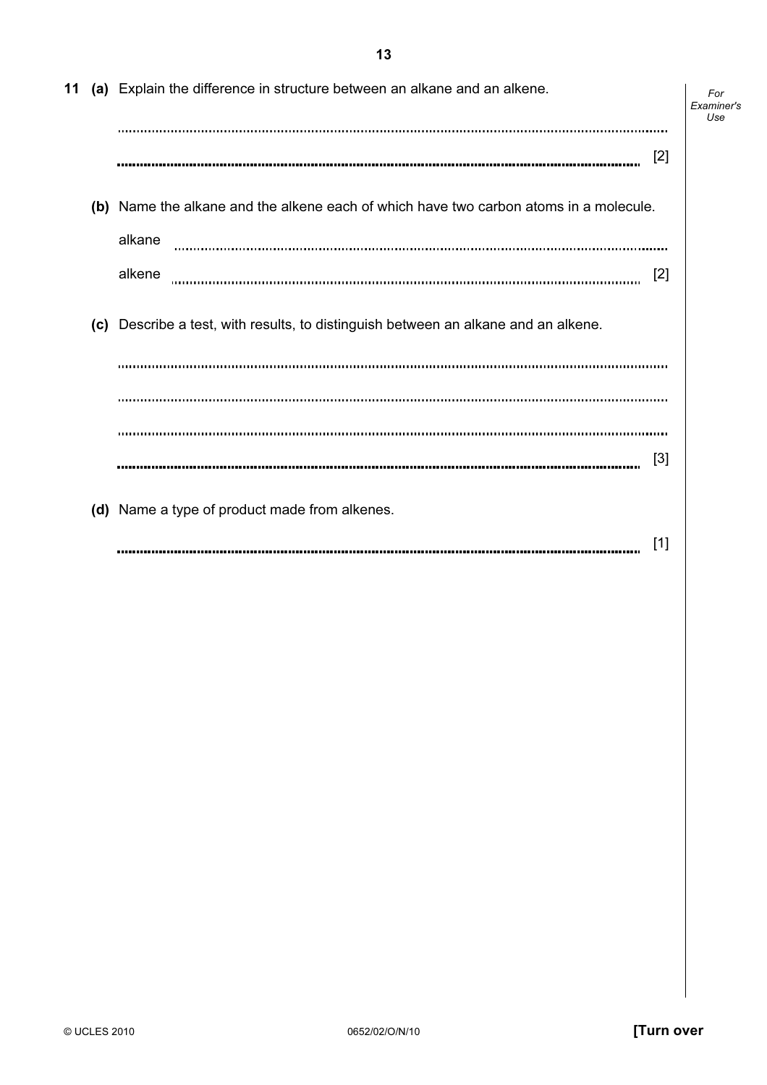|  | 11 (a) Explain the difference in structure between an alkane and an alkene.           | For<br>Examiner's<br>Use |
|--|---------------------------------------------------------------------------------------|--------------------------|
|  |                                                                                       |                          |
|  | $[2]$                                                                                 |                          |
|  | (b) Name the alkane and the alkene each of which have two carbon atoms in a molecule. |                          |
|  | alkane                                                                                |                          |
|  | alkene<br>$[2]$                                                                       |                          |
|  | (c) Describe a test, with results, to distinguish between an alkane and an alkene.    |                          |
|  |                                                                                       |                          |
|  |                                                                                       |                          |
|  |                                                                                       |                          |
|  | $[3]$                                                                                 |                          |
|  | (d) Name a type of product made from alkenes.                                         |                          |
|  | $[1]$                                                                                 |                          |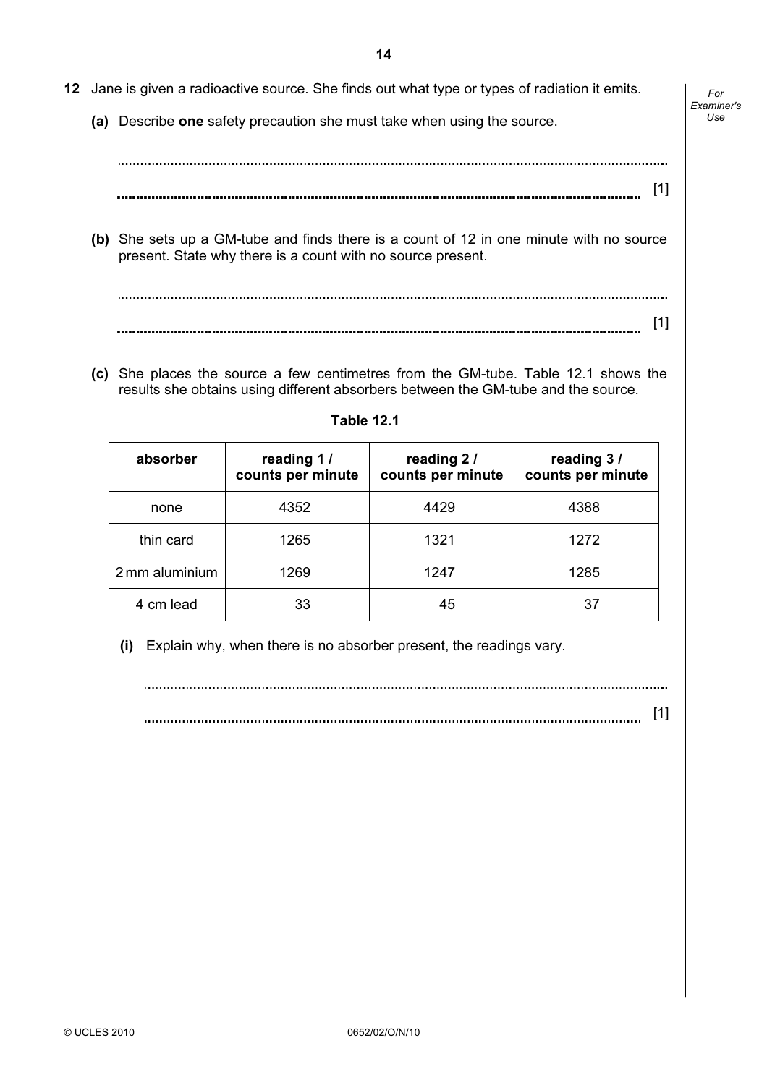- 12 Jane is given a radioactive source. She finds out what type or types of radiation it emits.
	- (a) Describe one safety precaution she must take when using the source.

[1]

 (b) She sets up a GM-tube and finds there is a count of 12 in one minute with no source present. State why there is a count with no source present.

[1] 

 (c) She places the source a few centimetres from the GM-tube. Table 12.1 shows the results she obtains using different absorbers between the GM-tube and the source.

| absorber       | reading 1/<br>counts per minute | reading 2/<br>counts per minute | reading 3/<br>counts per minute |
|----------------|---------------------------------|---------------------------------|---------------------------------|
| none           | 4352                            | 4429                            | 4388                            |
| thin card      | 1265                            | 1321                            | 1272                            |
| 2 mm aluminium | 1269                            | 1247                            | 1285                            |
| 4 cm lead      | 33                              | 45                              | 37                              |

Table 12.1

(i) Explain why, when there is no absorber present, the readings vary.

[1]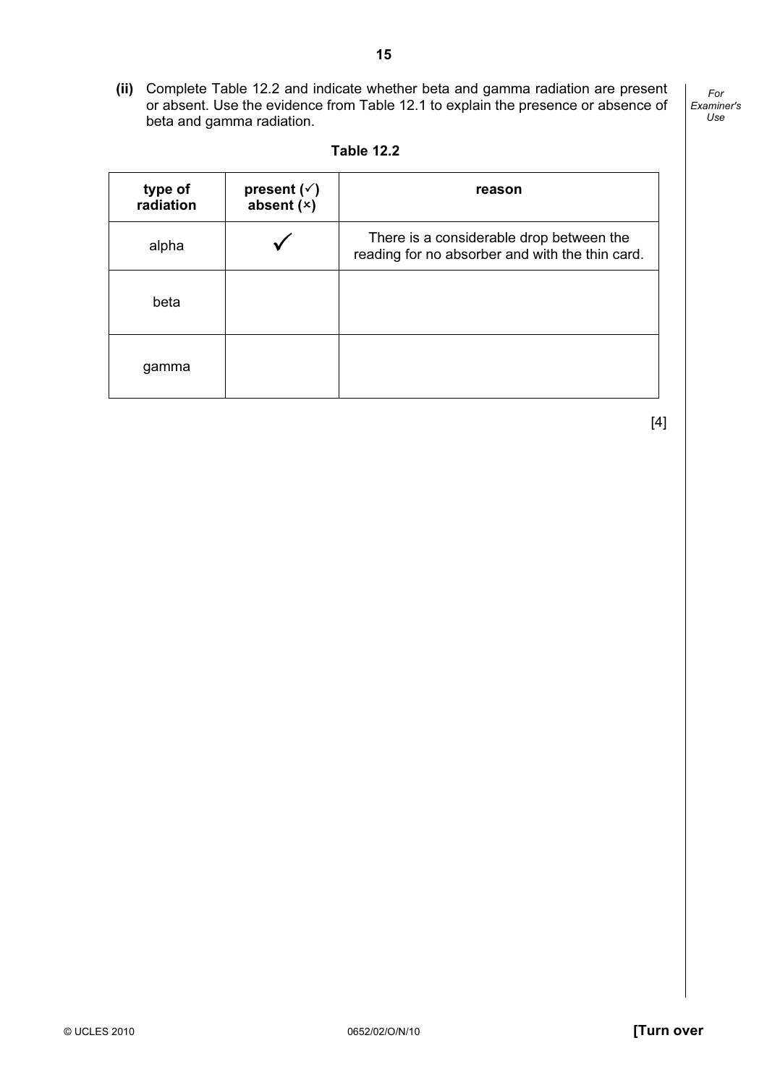(ii) Complete Table 12.2 and indicate whether beta and gamma radiation are present or absent. Use the evidence from Table 12.1 to explain the presence or absence of beta and gamma radiation.

For Examiner's Use

| type of<br>radiation | present $(\check{ }')$<br>absent $(x)$ | reason                                                                                      |
|----------------------|----------------------------------------|---------------------------------------------------------------------------------------------|
| alpha                |                                        | There is a considerable drop between the<br>reading for no absorber and with the thin card. |
| beta                 |                                        |                                                                                             |
| gamma                |                                        |                                                                                             |

### Table 12.2

[4]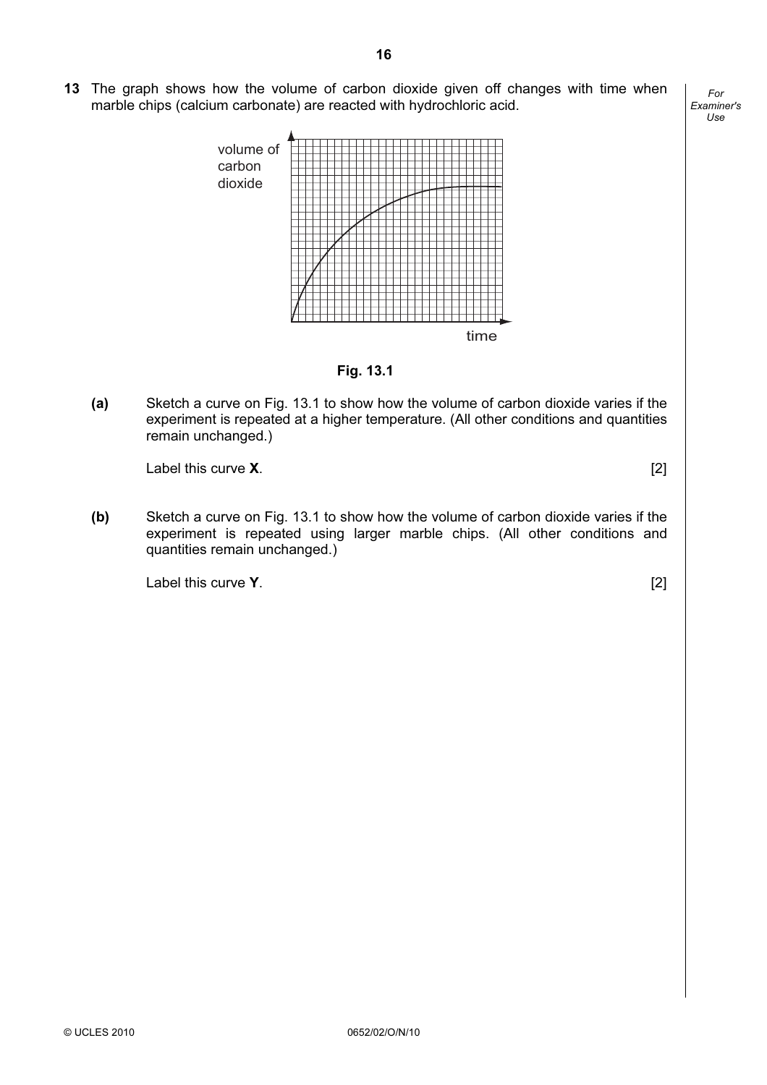13 The graph shows how the volume of carbon dioxide given off changes with time when marble chips (calcium carbonate) are reacted with hydrochloric acid.

For Examiner's  $1$ se



#### Fig. 13.1

(a) Sketch a curve on Fig. 13.1 to show how the volume of carbon dioxide varies if the experiment is repeated at a higher temperature. (All other conditions and quantities remain unchanged.)

Label this curve **X**.

(b) Sketch a curve on Fig. 13.1 to show how the volume of carbon dioxide varies if the experiment is repeated using larger marble chips. (All other conditions and quantities remain unchanged.)

Label this curve **Y**. [2]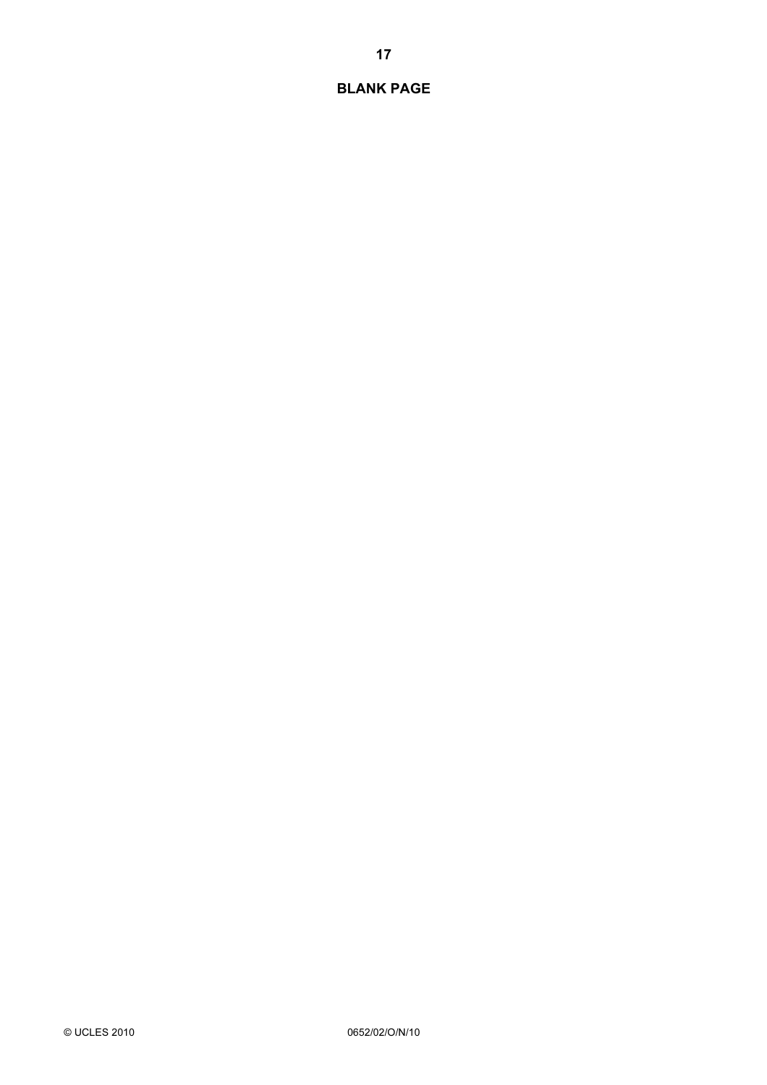### BLANK PAGE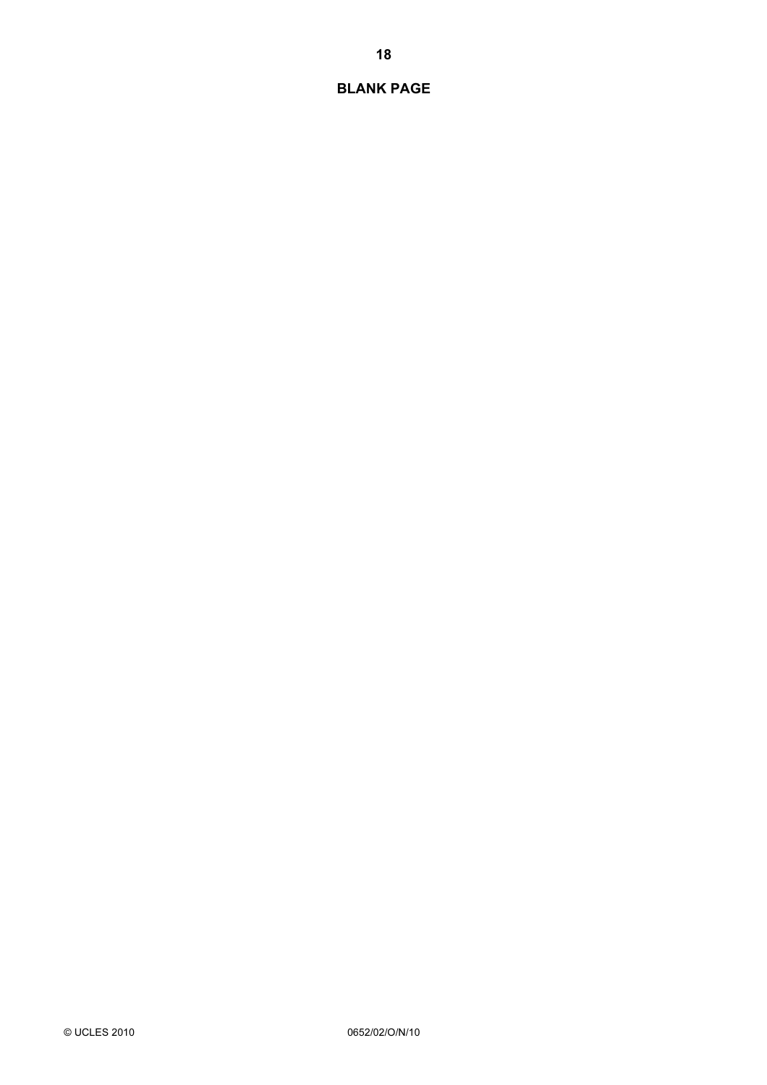### BLANK PAGE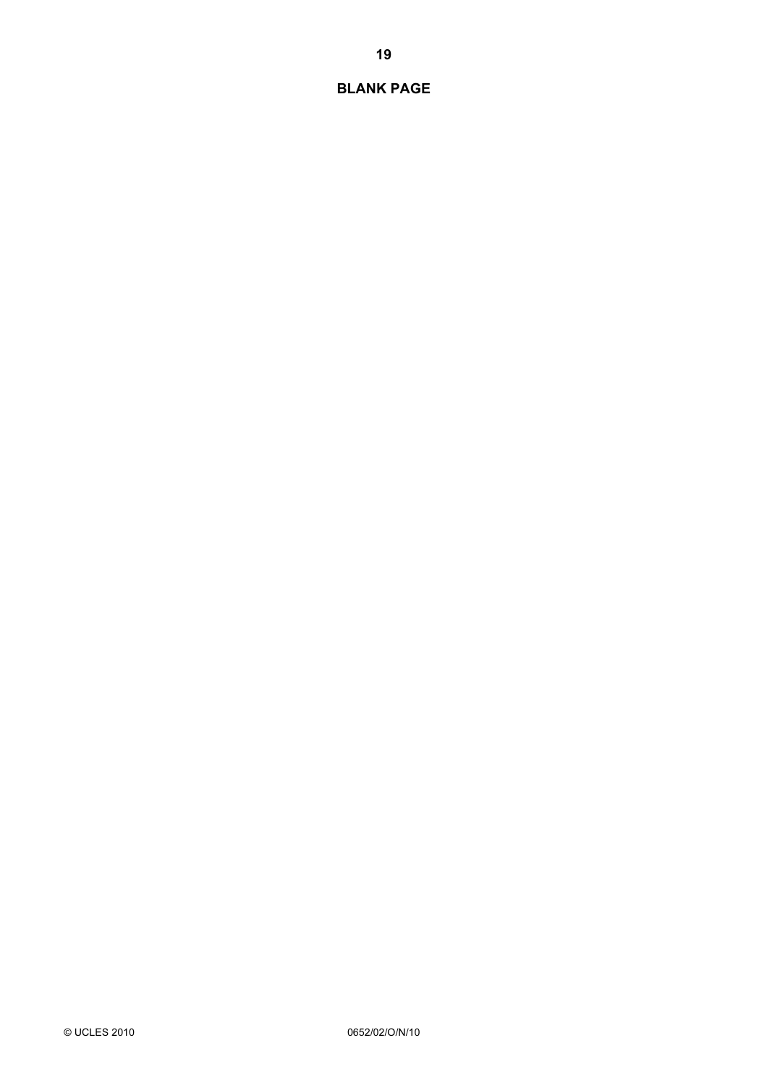### BLANK PAGE